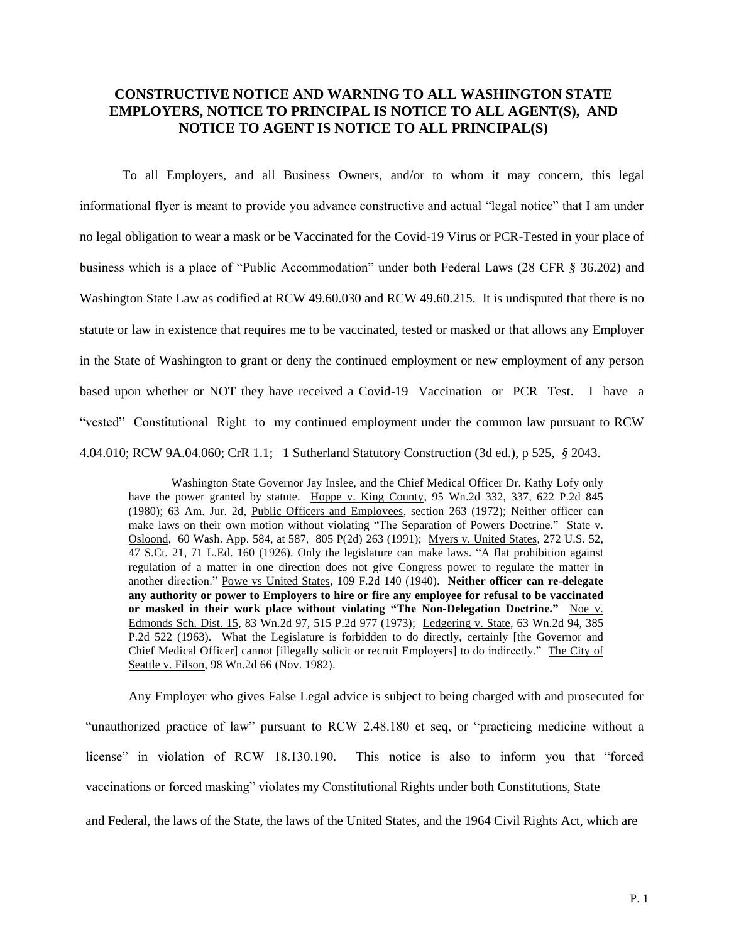## **CONSTRUCTIVE NOTICE AND WARNING TO ALL WASHINGTON STATE EMPLOYERS, NOTICE TO PRINCIPAL IS NOTICE TO ALL AGENT(S), AND NOTICE TO AGENT IS NOTICE TO ALL PRINCIPAL(S)**

 To all Employers, and all Business Owners, and/or to whom it may concern, this legal informational flyer is meant to provide you advance constructive and actual "legal notice" that I am under no legal obligation to wear a mask or be Vaccinated for the Covid-19 Virus or PCR-Tested in your place of business which is a place of "Public Accommodation" under both Federal Laws (28 CFR *§* 36.202) and Washington State Law as codified at RCW 49.60.030 and RCW 49.60.215. It is undisputed that there is no statute or law in existence that requires me to be vaccinated, tested or masked or that allows any Employer in the State of Washington to grant or deny the continued employment or new employment of any person based upon whether or NOT they have received a Covid-19 Vaccination or PCR Test. I have a "vested" Constitutional Right to my continued employment under the common law pursuant to RCW 4.04.010; RCW 9A.04.060; CrR 1.1; 1 Sutherland Statutory Construction (3d ed.), p 525, *§* 2043.

Washington State Governor Jay Inslee, and the Chief Medical Officer Dr. Kathy Lofy only have the power granted by statute. Hoppe v. King County, 95 Wn.2d 332, 337, 622 P.2d 845 (1980); 63 Am. Jur. 2d, Public Officers and Employees, section 263 (1972); Neither officer can make laws on their own motion without violating "The Separation of Powers Doctrine." State v. Osloond, 60 Wash. App. 584, at 587, 805 P(2d) 263 (1991); Myers v. United States, 272 U.S. 52, 47 S.Ct. 21, 71 L.Ed. 160 (1926). Only the legislature can make laws. "A flat prohibition against regulation of a matter in one direction does not give Congress power to regulate the matter in another direction." Powe vs United States, 109 F.2d 140 (1940). **Neither officer can re-delegate any authority or power to Employers to hire or fire any employee for refusal to be vaccinated or masked in their work place without violating "The Non-Delegation Doctrine."** Noe v. Edmonds Sch. Dist. 15, 83 Wn.2d 97, 515 P.2d 977 (1973); Ledgering v. State, 63 Wn.2d 94, 385 P.2d 522 (1963). What the Legislature is forbidden to do directly, certainly [the Governor and Chief Medical Officer] cannot [illegally solicit or recruit Employers] to do indirectly." The City of Seattle v. Filson, 98 Wn.2d 66 (Nov. 1982).

Any Employer who gives False Legal advice is subject to being charged with and prosecuted for "unauthorized practice of law" pursuant to RCW 2.48.180 et seq, or "practicing medicine without a license" in violation of RCW 18.130.190. This notice is also to inform you that "forced vaccinations or forced masking" violates my Constitutional Rights under both Constitutions, State and Federal, the laws of the State, the laws of the United States, and the 1964 Civil Rights Act, which are